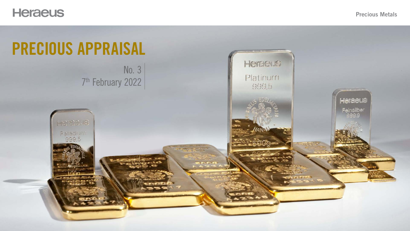

# PRECIOUS APPRAISAL No. 3

### Precious Metals



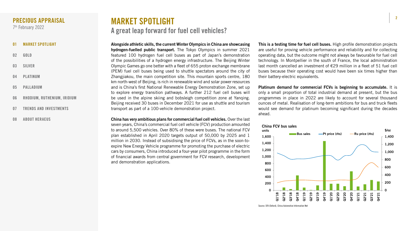2



Alongside athletic skills, the current Winter Olympics in China are showcasing hydrogen-fuelled public transport. The Tokyo Olympics in summer 2021 featured 100 hydrogen fuel cell buses as part of Japan's demonstration of the possibilities of a hydrogen energy infrastructure. The Beijing Winter Olympic Games go one better with a fleet of 655 proton exchange membrane (PEM) fuel cell buses being used to shuttle spectators around the city of Zhangjiakou, the main competition site. This mountain sports centre, 180 km north-west of Beijing, is rich in renewable wind and solar power resources and is China's first National Renewable Energy Demonstration Zone, set up to explore energy transition pathways. A further 212 fuel cell buses will be used in the alpine skiing and bobsleigh competition zone at Yanqing. Beijing received 30 buses in December 2021 for use as shuttle and tourism transport as part of a 100-vehicle demonstration project.

This is a testing time for fuel cell buses. High profile demonstration projects are useful for proving vehicle performance and reliability and for collecting operating data, but the outcome might not always be favourable for fuel cell technology. In Montpellier in the south of France, the local administration last month cancelled an investment of €29 million in a fleet of 51 fuel cell buses because their operating cost would have been six times higher than their battery-electric equivalents.

Platinum demand for commercial FCVs is beginning to accumulate. It is only a small proportion of total industrial demand at present, but the bus programmes in place in 2022 are likely to account for several thousand ounces of metal. Realisation of long-term ambitions for bus and truck fleets would see demand for platinum becoming significant during the decades ahead.

China has very ambitious plans for commercial fuel cell vehicles. Over the last seven years, China's commercial fuel cell vehicle (FCV) production amounted to around 5,500 vehicles. Over 80% of these were buses. The national FCV plan established in April 2020 targets output of 50,000 by 2025 and 1 million in 2030. Instead of subsidising the price of FCVs, as in the soon-toexpire New Energy Vehicle programme for promoting the purchase of electric cars by consumers, China introduced a four-year pilot programme in the form of financial awards from central government for FCV research, development and demonstration applications.

- 01 MARKET SPOTLIGHT
- 02 [GOLD](#page-2-0)
- 03 [SILVER](#page-3-0)
- 04 [PLATINUM](#page-4-0)
- 05 [PALLADIUM](#page-5-0)
- 06 [RHODIUM, RUTHENIUM, IRIDIUM](#page-6-0)
- 07 [TRENDS AND INVESTMENTS](#page-7-0)
- 08 [ABOUT HERAEUS](#page-8-0)

### <span id="page-1-0"></span>PRECIOUS APPRAISAL

7th February 2022

# MARKET SPOTLIGHT A great leap forward for fuel cell vehicles?





Source: SFA (Oxford), China Automotive Information Net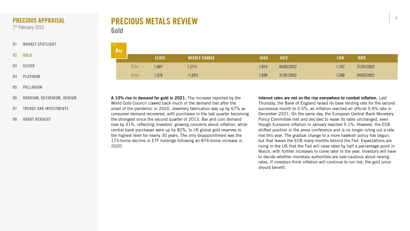





# PRECIOUS METALS REVIEW Gold

Interest rates are not on the rise everywhere to combat inflation. Last Thursday, the Bank of England raised its base lending rate for the second successive month to 0.5%, as inflation reached an official 5.4% rate in December 2021. On the same day, the European Central Bank Monetary Policy Committee met and decided to leave its rates unchanged, even though Eurozone inflation in January reached 5.1%. However, the ECB shifted position in the press conference and is no longer ruling out a rate rise this year. The gradual change to a more hawkish policy has begun, but that leaves the ECB many months behind the Fed. Expectations are rising in the US that the Fed will raise rates by half a percentage point in March, with further increases to come later in the year. Investors will have to decide whether monetary authorities are over-cautious about raising rates. If investors think inflation will continue to run hot, the gold price should benefit.

A 10% rise in demand for gold in 2021. The increase reported by the World Gold Council clawed back much of the demand lost after the onset of the pandemic in 2020. Jewellery fabrication was up by 67% as consumer demand recovered, with purchases in the last quarter becoming the strongest since the second quarter of 2013. Bar and coin demand rose by 31%, reflecting investors' growing concerns about inflation, while central bank purchases were up by 82%, to lift global gold reserves to the highest level for nearly 30 years. The only disappointment was the 173-tonne decline in ETF holdings following an 874-tonne increase in 2020.

| 79<br>Au J |              |                      |             |             |            |             |  |
|------------|--------------|----------------------|-------------|-------------|------------|-------------|--|
|            | <b>CLOSE</b> | <b>WEEKLY CHANGE</b> | <b>HIGH</b> | <b>DATE</b> | <b>LOW</b> | <b>DATE</b> |  |
| \$/oz      | ,807         | 1.21%                | 1,815       | 04/02/2022  | 1,787      | 31/01/2022  |  |
| E/oz       | ,578         | $-1.38%$             | 1,608       | 31/01/2022  | 1,568      | 04/02/2022  |  |

- [01](#page-1-0) [MARKET SPOTLIGHT](#page-1-0)
- 02 GOLD
- 03 [SILVER](#page-3-0)
- 04 [PLATINUM](#page-4-0)
- 05 [PALLADIUM](#page-5-0)
- 06 [RHODIUM, RUTHENIUM, IRIDIUM](#page-6-0)
- 07 [TRENDS AND INVESTMENTS](#page-7-0)
- 08 [ABOUT HERAEUS](#page-8-0)

# <span id="page-2-0"></span>PRECIOUS APPRAISAL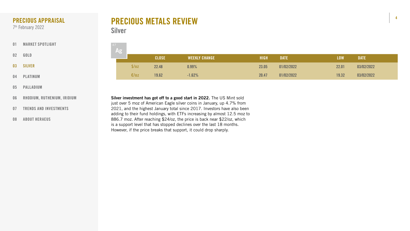

| 47 | Ag |       |              |                      |             |             |            |             |
|----|----|-------|--------------|----------------------|-------------|-------------|------------|-------------|
|    |    |       | <b>CLOSE</b> | <b>WEEKLY CHANGE</b> | <b>HIGH</b> | <b>DATE</b> | <b>LOW</b> | <b>DATE</b> |
|    |    | \$/oz | 22.48        | 0.99%                | 23.05       | 01/02/2022  | 22.01      | 03/02/2022  |
|    |    | E/oz  | 19.62        | $-1.62%$             | 20.47       | 01/02/2022  | 19.32      | 03/02/2022  |

# PRECIOUS METALS REVIEW Silver

Silver investment has got off to a good start in 2022. The US Mint sold just over 5 moz of American Eagle silver coins in January, up 4.7% from 2021, and the highest January total since 2017. Investors have also been adding to their fund holdings, with ETFs increasing by almost 12.5 moz to 886.7 moz. After reaching \$24/oz, the price is back near \$22/oz, which is a support level that has stopped declines over the last 18 months. However, if the price breaks that support, it could drop sharply.

- [01](#page-1-0) [MARKET SPOTLIGHT](#page-1-0)
- 02 [GOLD](#page-2-0)
- 03 SILVER
- 04 [PLATINUM](#page-4-0)
- 05 [PALLADIUM](#page-5-0)
- 06 [RHODIUM, RUTHENIUM, IRIDIUM](#page-6-0)
- 07 [TRENDS AND INVESTMENTS](#page-7-0)
- 08 [ABOUT HERAEUS](#page-8-0)

# <span id="page-3-0"></span>PRECIOUS APPRAISAL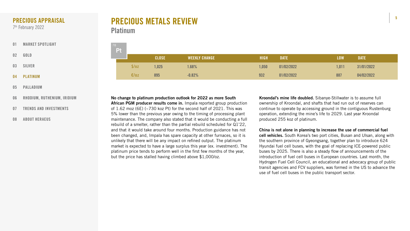



| 78 | <b>Pt</b> |       |              |                      |             |             |            |             |
|----|-----------|-------|--------------|----------------------|-------------|-------------|------------|-------------|
|    |           |       | <b>CLOSE</b> | <b>WEEKLY CHANGE</b> | <b>HIGH</b> | <b>DATE</b> | <b>LOW</b> | <b>DATE</b> |
|    |           | \$/oz | ,025         | 1.68%                | 1,050       | 01/02/2022  | 1,011      | 31/01/2022  |
|    |           | E/OZ  | 895          | $-0.82%$             | 932         | 01/02/2022  | 887        | 04/02/2022  |

# PRECIOUS METALS REVIEW Platinum

Kroondal's mine life doubled. Sibanye-Stillwater is to assume full ownership of Kroondal, and shafts that had run out of reserves can continue to operate by accessing ground in the contiguous Rustenburg operation, extending the mine's life to 2029. Last year Kroondal

produced 255 koz of platinum. China is not alone in planning to increase the use of commercial fuel cell vehicles. South Korea's two port cities, Busan and Ulsan, along with the southern province of Gyeongsang, together plan to introduce 624 Hyundai fuel cell buses, with the goal of replacing ICE-powered public buses by 2025. There is also a steady flow of announcements of the introduction of fuel cell buses in European countries. Last month, the Hydrogen Fuel Cell Council, an educational and advocacy group of public transit agencies and FCV suppliers, was formed in the US to advance the use of fuel cell buses in the public transport sector.

No change to platinum production outlook for 2022 as more South African PGM producer results come in. Impala reported group production of  $1.62$  moz (6E) (~730 koz Pt) for the second half of 2021. This was 5% lower than the previous year owing to the timing of processing plant maintenance. The company also stated that it would be conducting a full rebuild of a smelter, rather than the partial rebuild scheduled for Q1'22, and that it would take around four months. Production guidance has not been changed, and, Impala has spare capacity at other furnaces, so it is unlikely that there will be any impact on refined output. The platinum market is expected to have a large surplus this year (ex. investment). The platinum price tends to perform well in the first few months of the year, but the price has stalled having climbed above \$1,000/oz.

- [01](#page-1-0) [MARKET SPOTLIGHT](#page-1-0)
- 02 [GOLD](#page-2-0)
- 03 [SILVER](#page-3-0)
- 04 PLATINUM
- 05 [PALLADIUM](#page-5-0)
- 06 [RHODIUM, RUTHENIUM, IRIDIUM](#page-6-0)
- 07 [TRENDS AND INVESTMENTS](#page-7-0)
- 08 [ABOUT HERAEUS](#page-8-0)

# <span id="page-4-0"></span>PRECIOUS APPRAISAL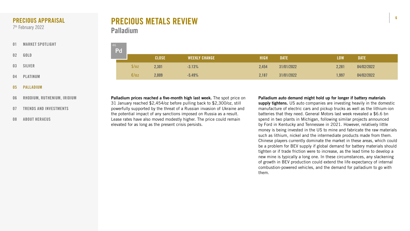



| 46 | Pd |       |              |                      |             |             |            |             |
|----|----|-------|--------------|----------------------|-------------|-------------|------------|-------------|
|    |    |       | <b>CLOSE</b> | <b>WEEKLY CHANGE</b> | <b>HIGH</b> | <b>DATE</b> | <b>LOW</b> | <b>DATE</b> |
|    |    | \$/oz | 2,301        | $-3.13%$             | 2,454       | 31/01/2022  | 2,281      | 04/02/2022  |
|    |    | E/oz  | 2,009        | $-5.49%$             | 2,187       | 31/01/2022  | 1,997      | 04/02/2022  |

Palladium auto demand might hold up for longer if battery materials supply tightens. US auto companies are investing heavily in the domestic manufacture of electric cars and pickup trucks as well as the lithium-ion batteries that they need. General Motors last week revealed a \$6.6 bn spend in two plants in Michigan, following similar projects announced by Ford in Kentucky and Tennessee in 2021. However, relatively little money is being invested in the US to mine and fabricate the raw materials such as lithium, nickel and the intermediate products made from them. Chinese players currently dominate the market in these areas, which could be a problem for BEV supply if global demand for battery materials should tighten or if trade friction were to increase, as the lead time to develop a new mine is typically a long one. In these circumstances, any slackening of growth in BEV production could extend the life expectancy of internal combustion-powered vehicles, and the demand for palladium to go with them.

Palladium prices reached a five-month high last week. The spot price on 31 January reached \$2,454/oz before pulling back to \$2,300/oz, still powerfully supported by the threat of a Russian invasion of Ukraine and the potential impact of any sanctions imposed on Russia as a result. Lease rates have also moved modestly higher. The price could remain elevated for as long as the present crisis persists.

# PRECIOUS METALS REVIEW Palladium

- [01](#page-1-0) [MARKET SPOTLIGHT](#page-1-0)
- 02 [GOLD](#page-2-0)
- 03 [SILVER](#page-3-0)
- 04 [PLATINUM](#page-4-0)
- 05 PALLADIUM
- 06 [RHODIUM, RUTHENIUM, IRIDIUM](#page-6-0)
- 07 [TRENDS AND INVESTMENTS](#page-7-0)
- 08 [ABOUT HERAEUS](#page-8-0)

# <span id="page-5-0"></span>PRECIOUS APPRAISAL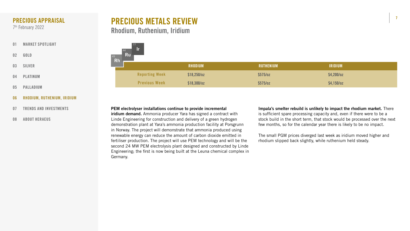7





| <b>RHODIUM</b> | RUTHENIUM | <b>IRIDIUM</b> |
|----------------|-----------|----------------|
| $518,250$ /oz  | \$575/oz  | \$4,200/oz     |
| $$18,300$ /oz  | \$575/oz  | $$4,150$ /oz   |

# PRECIOUS METALS REVIEW Rhodium, Ruthenium, Iridium

Impala's smelter rebuild is unlikely to impact the rhodium market. There is sufficient spare processing capacity and, even if there were to be a stock build in the short term, that stock would be processed over the next few months, so for the calendar year there is likely to be no impact.

The small PGM prices diverged last week as iridium moved higher and rhodium slipped back slightly, while ruthenium held steady.





PEM electrolyser installations continue to provide incremental iridium demand. Ammonia producer Yara has signed a contract with Linde Engineering for construction and delivery of a green hydrogen demonstration plant at Yara's ammonia production facility at Porsgrunn in Norway. The project will demonstrate that ammonia produced using renewable energy can reduce the amount of carbon dioxide emitted in fertiliser production. The project will use PEM technology and will be the second 24 MW PEM electrolysis plant designed and constructed by Linde Engineering; the first is now being built at the Leuna chemical complex in Germany.

- [01](#page-1-0) [MARKET SPOTLIGHT](#page-1-0)
- 02 [GOLD](#page-2-0)
- 03 [SILVER](#page-3-0)
- 04 [PLATINUM](#page-4-0)
- 05 [PALLADIUM](#page-5-0)
- 06 RHODIUM, RUTHENIUM, IRIDIUM
- 07 [TRENDS AND INVESTMENTS](#page-7-0)
- 08 [ABOUT HERAEUS](#page-8-0)

# <span id="page-6-0"></span>PRECIOUS APPRAISAL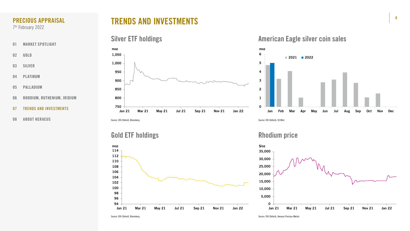





- [01](#page-1-0) [MARKET SPOTLIGHT](#page-1-0)
- 02 [GOLD](#page-2-0)
- 03 [SILVER](#page-3-0)
- 04 [PLATINUM](#page-4-0)
- 05 [PALLADIUM](#page-5-0)
- 06 [RHODIUM, RUTHENIUM, IRIDIUM](#page-6-0)
- 07 TRENDS AND INVESTMENTS
- 08 [ABOUT HERAEUS](#page-8-0)

### <span id="page-7-0"></span>PRECIOUS APPRAISAL